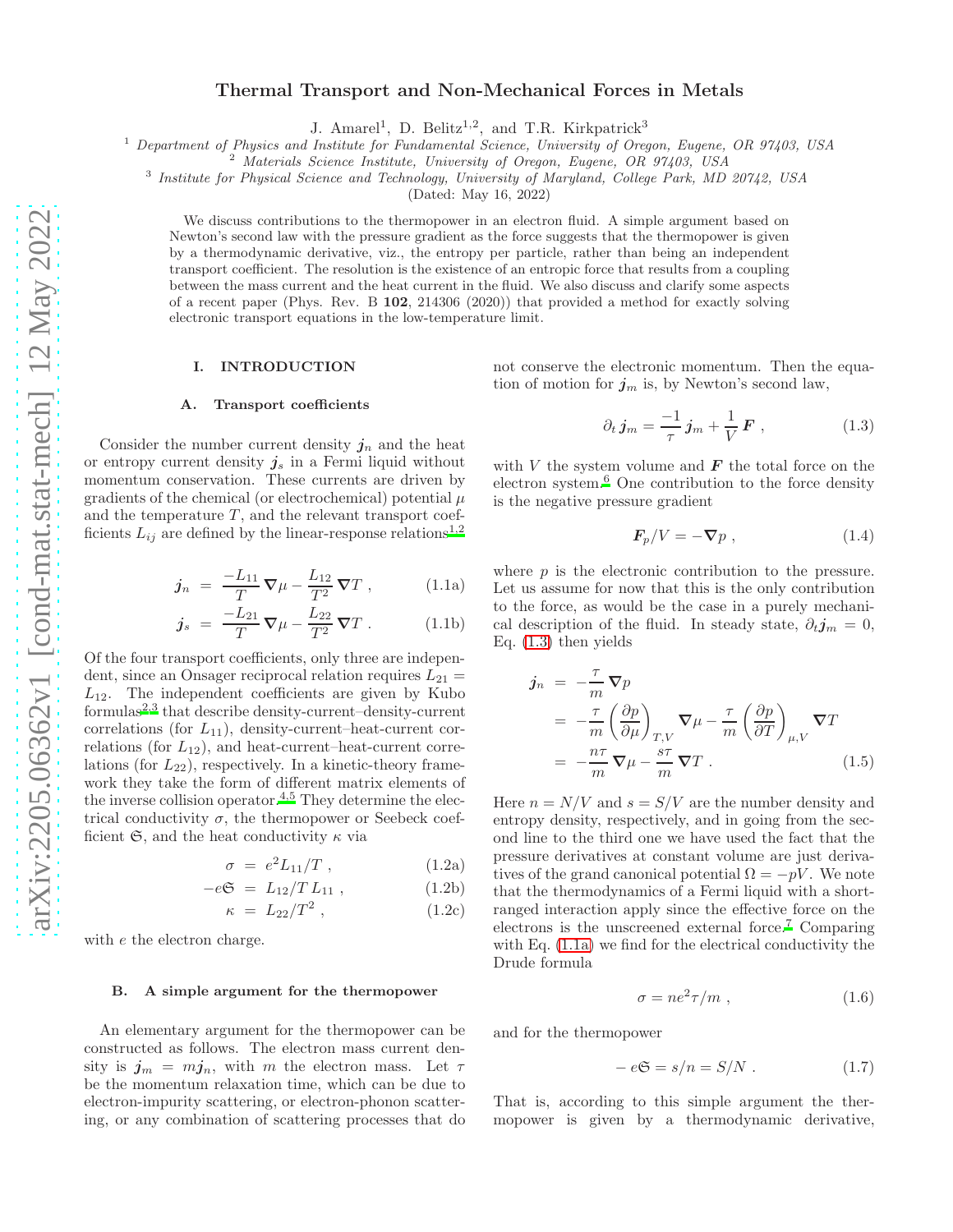# Thermal Transport and Non-Mechanical Forces in Metals

J. Amarel<sup>1</sup>, D. Belitz<sup>1,2</sup>, and T.R. Kirkpatrick<sup>3</sup>

<sup>1</sup> Department of Physics and Institute for Fundamental Science, University of Oregon, Eugene, OR 97403, USA

<sup>2</sup> Materials Science Institute, University of Oregon, Eugene, OR 97403, USA

<sup>3</sup> Institute for Physical Science and Technology, University of Maryland, College Park, MD 20742, USA

(Dated: May 16, 2022)

We discuss contributions to the thermopower in an electron fluid. A simple argument based on Newton's second law with the pressure gradient as the force suggests that the thermopower is given by a thermodynamic derivative, viz., the entropy per particle, rather than being an independent transport coefficient. The resolution is the existence of an entropic force that results from a coupling between the mass current and the heat current in the fluid. We also discuss and clarify some aspects of a recent paper (Phys. Rev. B 102, 214306 (2020)) that provided a method for exactly solving electronic transport equations in the low-temperature limit.

#### I. INTRODUCTION

#### A. Transport coefficients

Consider the number current density  $j_n$  and the heat or entropy current density  $j_s$  in a Fermi liquid without momentum conservation. These currents are driven by gradients of the chemical (or electrochemical) potential  $\mu$ and the temperature  $T$ , and the relevant transport coefficient[s](#page-5-0)  $L_{ij}$  are defined by the linear-response relations<sup>1[,2](#page-5-1)</sup>

<span id="page-0-1"></span>
$$
j_n = \frac{-L_{11}}{T} \nabla \mu - \frac{L_{12}}{T^2} \nabla T , \qquad (1.1a)
$$

$$
\mathbf{j}_s = \frac{-L_{21}}{T} \nabla \mu - \frac{L_{22}}{T^2} \nabla T . \qquad (1.1b)
$$

Of the four transport coefficients, only three are independent, since an Onsager reciprocal relation requires  $L_{21}$  =  $L_{12}$ . The independent coefficients are given by Kubo formulas<sup>[2](#page-5-1)[,3](#page-5-2)</sup> that describe density-current–density-current correlations (for  $L_{11}$ ), density-current–heat-current correlations (for  $L_{12}$ ), and heat-current–heat-current correlations (for  $L_{22}$ ), respectively. In a kinetic-theory framework they take the form of different matrix elements of the inverse collision operator.<sup>[4](#page-5-3)[,5](#page-5-4)</sup> They determine the electrical conductivity  $\sigma$ , the thermopower or Seebeck coefficient  $\mathfrak{S}$ , and the heat conductivity  $\kappa$  via

$$
\sigma = e^2 L_{11}/T , \qquad (1.2a)
$$

$$
-e\mathfrak{S} = L_{12}/TL_{11} , \qquad (1.2b)
$$

$$
\kappa = L_{22}/T^2 \,, \tag{1.2c}
$$

with e the electron charge.

## <span id="page-0-7"></span>B. A simple argument for the thermopower

An elementary argument for the thermopower can be constructed as follows. The electron mass current density is  $j_m = mj_n$ , with m the electron mass. Let  $\tau$ be the momentum relaxation time, which can be due to electron-impurity scattering, or electron-phonon scattering, or any combination of scattering processes that do not conserve the electronic momentum. Then the equation of motion for  $j_m$  is, by Newton's second law,

<span id="page-0-0"></span>
$$
\partial_t \, j_m = \frac{-1}{\tau} \, j_m + \frac{1}{V} \, F \;, \tag{1.3}
$$

with  $V$  the system volume and  $\boldsymbol{F}$  the total force on the electron system. $6$  One contribution to the force density is the negative pressure gradient

<span id="page-0-3"></span>
$$
\mathbf{F}_p/V = -\nabla p \;, \tag{1.4}
$$

where  $p$  is the electronic contribution to the pressure. Let us assume for now that this is the only contribution to the force, as would be the case in a purely mechanical description of the fluid. In steady state,  $\partial_t j_m = 0$ , Eq. [\(1.3\)](#page-0-0) then yields

<span id="page-0-2"></span>
$$
\begin{split} j_n &= -\frac{\tau}{m} \nabla p \\ &= -\frac{\tau}{m} \left( \frac{\partial p}{\partial \mu} \right)_{T,V} \nabla \mu - \frac{\tau}{m} \left( \frac{\partial p}{\partial T} \right)_{\mu,V} \nabla T \\ &= -\frac{n\tau}{m} \nabla \mu - \frac{s\tau}{m} \nabla T \,. \end{split} \tag{1.5}
$$

<span id="page-0-4"></span>Here  $n = N/V$  and  $s = S/V$  are the number density and entropy density, respectively, and in going from the second line to the third one we have used the fact that the pressure derivatives at constant volume are just derivatives of the grand canonical potential  $\Omega = -pV$ . We note that the thermodynamics of a Fermi liquid with a shortranged interaction apply since the effective force on the electrons is the unscreened external force.[7](#page-5-6) Comparing with Eq. [\(1.1a\)](#page-0-1) we find for the electrical conductivity the Drude formula

<span id="page-0-5"></span>
$$
\sigma = ne^2 \tau / m \t{1.6}
$$

and for the thermopower

<span id="page-0-6"></span>
$$
-e\mathfrak{S} = s/n = S/N. \qquad (1.7)
$$

That is, according to this simple argument the thermopower is given by a thermodynamic derivative,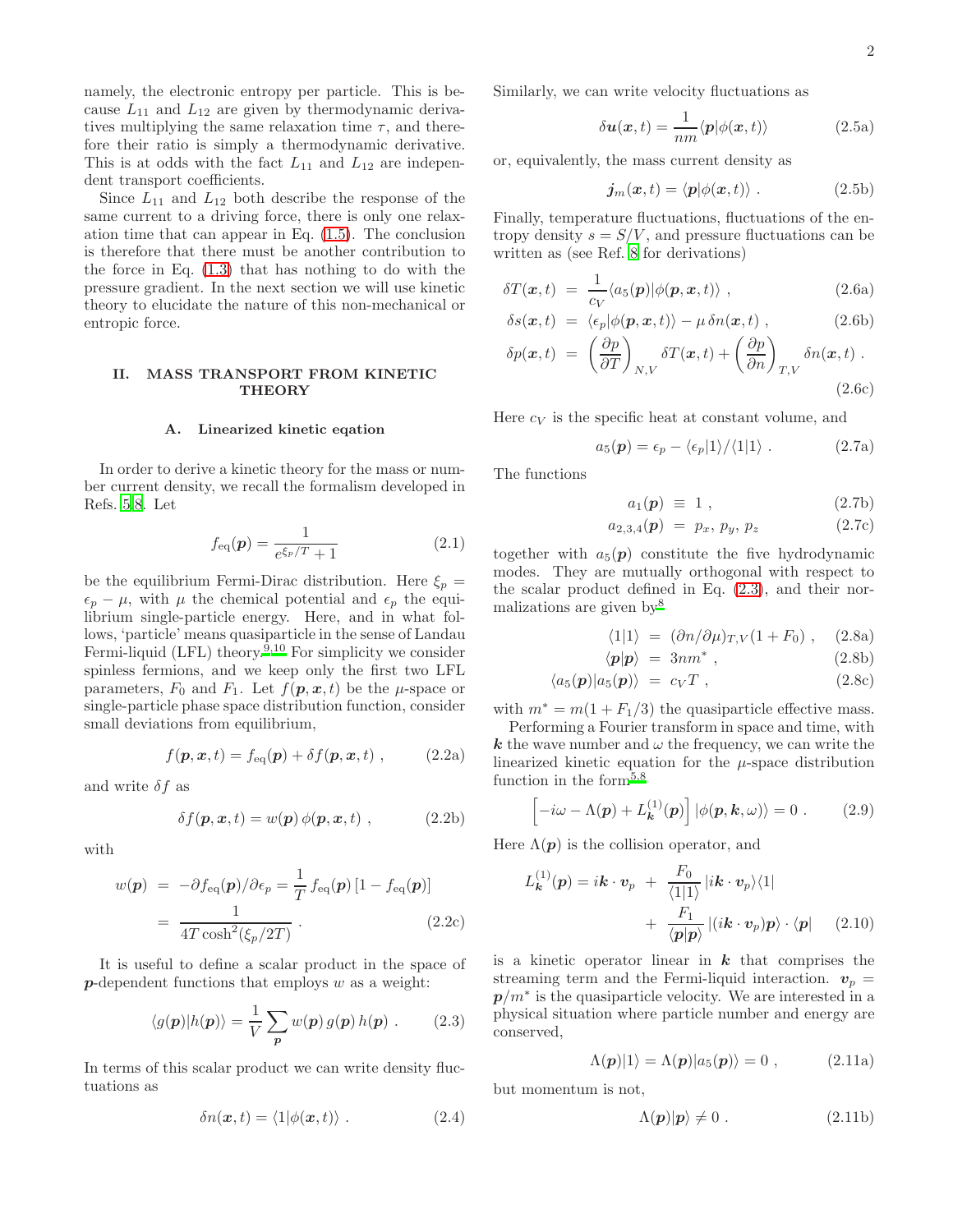namely, the electronic entropy per particle. This is because  $L_{11}$  and  $L_{12}$  are given by thermodynamic derivatives multiplying the same relaxation time  $\tau$ , and therefore their ratio is simply a thermodynamic derivative. This is at odds with the fact  $L_{11}$  and  $L_{12}$  are independent transport coefficients.

Since  $L_{11}$  and  $L_{12}$  both describe the response of the same current to a driving force, there is only one relaxation time that can appear in Eq. [\(1.5\)](#page-0-2). The conclusion is therefore that there must be another contribution to the force in Eq. [\(1.3\)](#page-0-0) that has nothing to do with the pressure gradient. In the next section we will use kinetic theory to elucidate the nature of this non-mechanical or entropic force.

# II. MASS TRANSPORT FROM KINETIC **THEORY**

#### A. Linearized kinetic eqation

In order to derive a kinetic theory for the mass or number current density, we recall the formalism developed in Refs. [5](#page-5-4)[,8.](#page-5-7) Let

$$
f_{\text{eq}}(\mathbf{p}) = \frac{1}{e^{\xi_p/T} + 1} \tag{2.1}
$$

be the equilibrium Fermi-Dirac distribution. Here  $\xi_p =$  $\epsilon_p - \mu$ , with  $\mu$  the chemical potential and  $\epsilon_p$  the equilibrium single-particle energy. Here, and in what follows, 'particle' means quasiparticle in the sense of Landau Fermi-liquid (LFL) theory.<sup>[9](#page-5-8)[,10](#page-5-9)</sup> For simplicity we consider spinless fermions, and we keep only the first two LFL parameters,  $F_0$  and  $F_1$ . Let  $f(\mathbf{p}, \mathbf{x}, t)$  be the  $\mu$ -space or single-particle phase space distribution function, consider small deviations from equilibrium,

$$
f(\mathbf{p}, \mathbf{x}, t) = f_{\text{eq}}(\mathbf{p}) + \delta f(\mathbf{p}, \mathbf{x}, t) , \qquad (2.2a)
$$

and write  $\delta f$  as

$$
\delta f(\mathbf{p}, \mathbf{x}, t) = w(\mathbf{p}) \phi(\mathbf{p}, \mathbf{x}, t) , \qquad (2.2b)
$$

with

$$
w(\mathbf{p}) = -\partial f_{\text{eq}}(\mathbf{p})/\partial \epsilon_p = \frac{1}{T} f_{\text{eq}}(\mathbf{p}) [1 - f_{\text{eq}}(\mathbf{p})]
$$

$$
= \frac{1}{4T \cosh^2(\xi_p/2T)}.
$$
(2.2c)

It is useful to define a scalar product in the space of  $p$ -dependent functions that employs  $w$  as a weight:

<span id="page-1-0"></span>
$$
\langle g(\mathbf{p}) | h(\mathbf{p}) \rangle = \frac{1}{V} \sum_{\mathbf{p}} w(\mathbf{p}) g(\mathbf{p}) h(\mathbf{p}) . \quad (2.3)
$$

In terms of this scalar product we can write density fluctuations as

$$
\delta n(\boldsymbol{x},t) = \langle 1 | \phi(\boldsymbol{x},t) \rangle . \tag{2.4}
$$

Similarly, we can write velocity fluctuations as

$$
\delta \mathbf{u}(\mathbf{x},t) = \frac{1}{nm} \langle \mathbf{p} | \phi(\mathbf{x},t) \rangle \tag{2.5a}
$$

or, equivalently, the mass current density as

$$
\boldsymbol{j}_m(\boldsymbol{x},t) = \langle \boldsymbol{p} | \phi(\boldsymbol{x},t) \rangle . \tag{2.5b}
$$

Finally, temperature fluctuations, fluctuations of the entropy density  $s = S/V$ , and pressure fluctuations can be written as (see Ref. [8](#page-5-7) for derivations)

<span id="page-1-2"></span>
$$
\delta T(\boldsymbol{x},t) = \frac{1}{c_V} \langle a_5(\boldsymbol{p}) | \phi(\boldsymbol{p},\boldsymbol{x},t) \rangle , \qquad (2.6a)
$$

$$
\delta s(\boldsymbol{x},t) = \langle \epsilon_p | \phi(\boldsymbol{p},\boldsymbol{x},t) \rangle - \mu \, \delta n(\boldsymbol{x},t) \;, \tag{2.6b}
$$

$$
\delta p(\boldsymbol{x},t) = \left(\frac{\partial p}{\partial T}\right)_{N,V} \delta T(\boldsymbol{x},t) + \left(\frac{\partial p}{\partial n}\right)_{T,V} \delta n(\boldsymbol{x},t) . \tag{2.6c}
$$

Here  $c_V$  is the specific heat at constant volume, and

$$
a_5(\mathbf{p}) = \epsilon_p - \langle \epsilon_p | 1 \rangle / \langle 1 | 1 \rangle . \qquad (2.7a)
$$

The functions

$$
a_1(\mathbf{p}) \equiv 1 \tag{2.7b}
$$

$$
a_{2,3,4}(\mathbf{p}) = p_x, p_y, p_z \tag{2.7c}
$$

together with  $a_5(p)$  constitute the five hydrodynamic modes. They are mutually orthogonal with respect to the scalar product defined in Eq. [\(2.3\)](#page-1-0), and their normalizations are given by[8](#page-5-7)

$$
\langle 1|1 \rangle = (\partial n/\partial \mu)_{T,V} (1 + F_0) , \quad (2.8a)
$$

$$
\langle p|p\rangle = 3nm^*,\qquad (2.8b)
$$

$$
\langle a_5(\mathbf{p})|a_5(\mathbf{p})\rangle = c_V T , \qquad (2.8c)
$$

with  $m^* = m(1 + F_1/3)$  the quasiparticle effective mass.

Performing a Fourier transform in space and time, with k the wave number and  $\omega$  the frequency, we can write the linearized kinetic equation for the  $\mu$ -space distribution function in the form<sup>[5](#page-5-4)[,8](#page-5-7)</sup>

<span id="page-1-1"></span>
$$
\left[-i\omega - \Lambda(\boldsymbol{p}) + L_{\boldsymbol{k}}^{(1)}(\boldsymbol{p})\right] |\phi(\boldsymbol{p}, \boldsymbol{k}, \omega)\rangle = 0. \quad (2.9)
$$

Here  $\Lambda(p)$  is the collision operator, and

$$
L_{\mathbf{k}}^{(1)}(\mathbf{p}) = i\mathbf{k} \cdot \mathbf{v}_p + \frac{F_0}{\langle 1|1 \rangle} |i\mathbf{k} \cdot \mathbf{v}_p\rangle\langle 1| + \frac{F_1}{\langle \mathbf{p}|\mathbf{p}\rangle} |(i\mathbf{k} \cdot \mathbf{v}_p)\mathbf{p}\rangle \cdot \langle \mathbf{p}|
$$
 (2.10)

is a kinetic operator linear in  $k$  that comprises the streaming term and the Fermi-liquid interaction.  $v_p =$  $p/m^*$  is the quasiparticle velocity. We are interested in a physical situation where particle number and energy are conserved,

<span id="page-1-3"></span>
$$
\Lambda(p)|1\rangle = \Lambda(p)|a_5(p)\rangle = 0 , \qquad (2.11a)
$$

but momentum is not,

$$
\Lambda(p)|p\rangle \neq 0. \tag{2.11b}
$$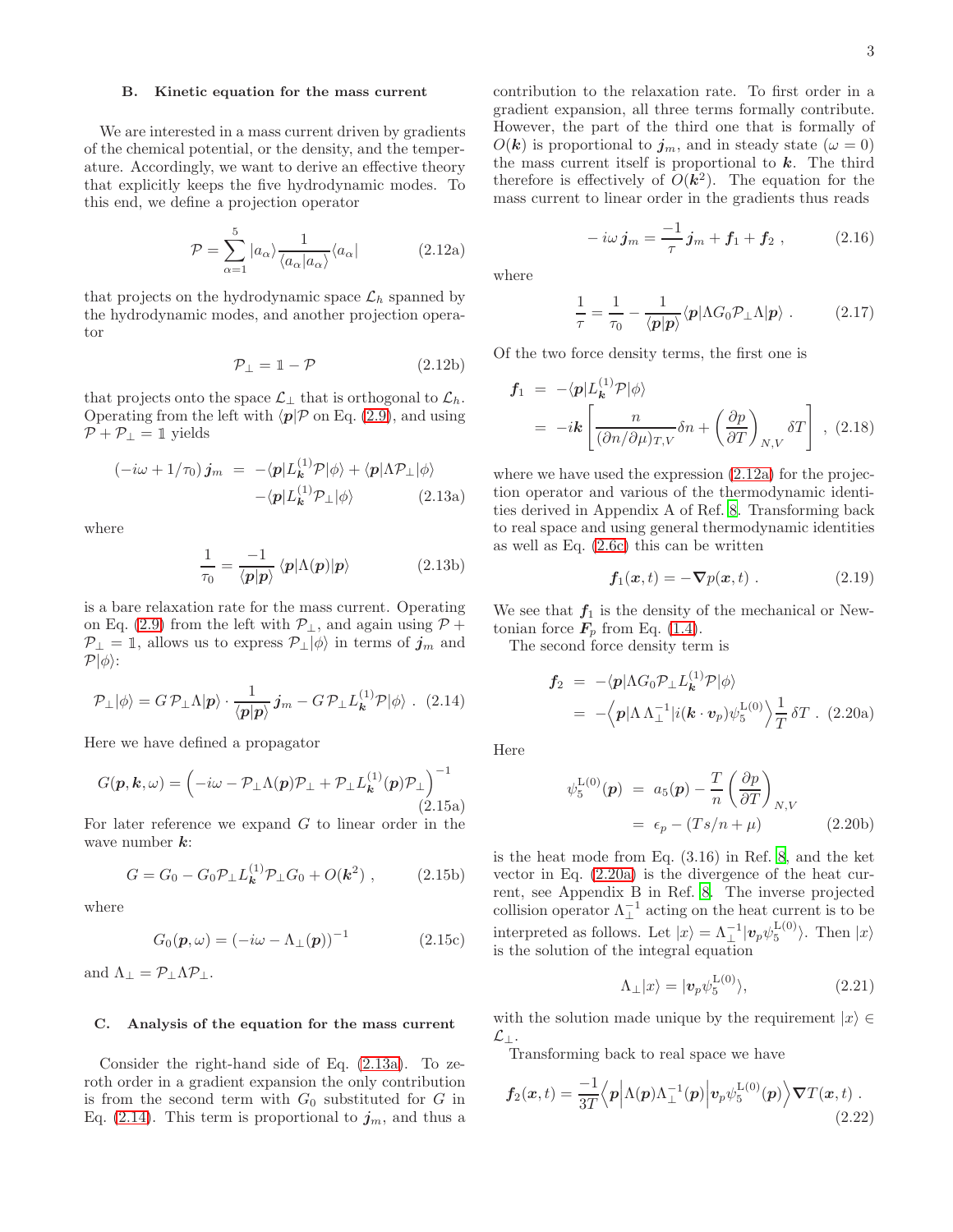## B. Kinetic equation for the mass current

We are interested in a mass current driven by gradients of the chemical potential, or the density, and the temperature. Accordingly, we want to derive an effective theory that explicitly keeps the five hydrodynamic modes. To this end, we define a projection operator

<span id="page-2-2"></span>
$$
\mathcal{P} = \sum_{\alpha=1}^{5} |a_{\alpha}\rangle \frac{1}{\langle a_{\alpha}|a_{\alpha}\rangle} \langle a_{\alpha}|
$$
 (2.12a)

that projects on the hydrodynamic space  $\mathcal{L}_h$  spanned by the hydrodynamic modes, and another projection operator

$$
\mathcal{P}_\perp = 1 - \mathcal{P} \tag{2.12b}
$$

that projects onto the space  $\mathcal{L}_\perp$  that is orthogonal to  $\mathcal{L}_h$ . Operating from the left with  $\langle p| \mathcal{P}$  on Eq. [\(2.9\)](#page-1-1), and using  $\mathcal{P} + \mathcal{P}_\perp = \mathbbm{1}$  yields

<span id="page-2-0"></span>
$$
\begin{array}{rcl}\n(-i\omega + 1/\tau_0) \, j_m & = & -\langle p|L_{\mathbf{k}}^{(1)}\mathcal{P}|\phi\rangle + \langle p|\Lambda \mathcal{P}_\perp|\phi\rangle \\
&- \langle p|L_{\mathbf{k}}^{(1)}\mathcal{P}_\perp|\phi\rangle\n\end{array} \tag{2.13a}
$$

where

$$
\frac{1}{\tau_0} = \frac{-1}{\langle p|p \rangle} \langle p|\Lambda(p)|p \rangle \tag{2.13b}
$$

is a bare relaxation rate for the mass current. Operating on Eq. [\(2.9\)](#page-1-1) from the left with  $\mathcal{P}_\perp$ , and again using  $\mathcal{P}$  +  $P_{\perp} = 1$ , allows us to express  $P_{\perp}|\phi\rangle$  in terms of  $j_m$  and  $\mathcal{P}|\phi\rangle$ :

<span id="page-2-1"></span>
$$
\mathcal{P}_{\perp}|\phi\rangle = G \,\mathcal{P}_{\perp}\Lambda|\boldsymbol{p}\rangle \cdot \frac{1}{\langle \boldsymbol{p}|\boldsymbol{p}\rangle} \,\boldsymbol{j}_m - G \,\mathcal{P}_{\perp}L_{\boldsymbol{k}}^{(1)}\mathcal{P}|\phi\rangle \ . \tag{2.14}
$$

Here we have defined a propagator

$$
G(\boldsymbol{p}, \boldsymbol{k}, \omega) = \left( -i\omega - \mathcal{P}_{\perp} \Lambda(\boldsymbol{p}) \mathcal{P}_{\perp} + \mathcal{P}_{\perp} L_{\boldsymbol{k}}^{(1)}(\boldsymbol{p}) \mathcal{P}_{\perp} \right)^{-1} (2.15a)
$$

For later reference we expand  $G$  to linear order in the wave number  $k$ :

$$
G = G_0 - G_0 \mathcal{P}_\perp L_{\mathbf{k}}^{(1)} \mathcal{P}_\perp G_0 + O(\mathbf{k}^2) , \qquad (2.15b)
$$

where

$$
G_0(\mathbf{p}, \omega) = (-i\omega - \Lambda_{\perp}(\mathbf{p}))^{-1}
$$
 (2.15c)

and  $\Lambda_{\perp} = \mathcal{P}_{\perp} \Lambda \mathcal{P}_{\perp}$ .

### <span id="page-2-9"></span>C. Analysis of the equation for the mass current

Consider the right-hand side of Eq. [\(2.13a\)](#page-2-0). To zeroth order in a gradient expansion the only contribution is from the second term with  $G_0$  substituted for G in Eq. [\(2.14\)](#page-2-1). This term is proportional to  $j<sub>m</sub>$ , and thus a contribution to the relaxation rate. To first order in a gradient expansion, all three terms formally contribute. However, the part of the third one that is formally of  $O(\mathbf{k})$  is proportional to  $j_m$ , and in steady state  $(\omega = 0)$ the mass current itself is proportional to  $k$ . The third therefore is effectively of  $O(k^2)$ . The equation for the mass current to linear order in the gradients thus reads

<span id="page-2-4"></span>
$$
-i\omega j_m = \frac{-1}{\tau} j_m + f_1 + f_2 , \qquad (2.16)
$$

where

<span id="page-2-7"></span>
$$
\frac{1}{\tau} = \frac{1}{\tau_0} - \frac{1}{\langle p|p \rangle} \langle p|\Lambda G_0 \mathcal{P}_\perp \Lambda |p \rangle . \tag{2.17}
$$

Of the two force density terms, the first one is

$$
\mathbf{f}_1 = -\langle \mathbf{p} | L_{\mathbf{k}}^{(1)} \mathcal{P} | \phi \rangle
$$
  
=  $-i\mathbf{k} \left[ \frac{n}{(\partial n/\partial \mu)_{T,V}} \delta n + \left( \frac{\partial p}{\partial T} \right)_{N,V} \delta T \right],$  (2.18)

where we have used the expression  $(2.12a)$  for the projection operator and various of the thermodynamic identities derived in Appendix A of Ref. [8.](#page-5-7) Transforming back to real space and using general thermodynamic identities as well as Eq. [\(2.6c\)](#page-1-2) this can be written

<span id="page-2-5"></span>
$$
\mathbf{f}_1(\mathbf{x},t) = -\nabla p(\mathbf{x},t) \; . \tag{2.19}
$$

We see that  $f_1$  is the density of the mechanical or Newtonian force  $\mathbf{F}_p$  from Eq. [\(1.4\)](#page-0-3).

The second force density term is

<span id="page-2-3"></span>
$$
\mathbf{f}_2 = -\langle \mathbf{p} | \Lambda G_0 \mathcal{P}_\perp L_{\mathbf{k}}^{(1)} \mathcal{P} | \phi \rangle
$$
  
= -\langle \mathbf{p} | \Lambda \Lambda\_\perp^{-1} | i(\mathbf{k} \cdot \mathbf{v}\_p) \psi\_5^{\text{L}(0)} \rangle \frac{1}{T} \delta T . (2.20a)

Here

$$
\psi_5^{\text{L}(0)}(\boldsymbol{p}) = a_5(\boldsymbol{p}) - \frac{T}{n} \left( \frac{\partial p}{\partial T} \right)_{N,V}
$$
  
=  $\epsilon_p - (Ts/n + \mu)$  (2.20b)

is the heat mode from Eq. (3.16) in Ref. [8,](#page-5-7) and the ket vector in Eq. [\(2.20a\)](#page-2-3) is the divergence of the heat current, see Appendix B in Ref. [8.](#page-5-7) The inverse projected collision operator  $\Lambda_{\perp}^{-1}$  acting on the heat current is to be interpreted as follows. Let  $|x\rangle = \Lambda_{\perp}^{-1} |\mathbf{v}_p \psi_5^{\mathcal{L}(0)}\rangle$ . Then  $|x\rangle$ is the solution of the integral equation

<span id="page-2-8"></span>
$$
\Lambda_{\perp}|x\rangle = |\boldsymbol{v}_p\psi_5^{\mathrm{L}(0)}\rangle, \tag{2.21}
$$

with the solution made unique by the requirement  $|x\rangle \in$  $\mathcal{L}_{\perp}$ .

Transforming back to real space we have

<span id="page-2-6"></span>
$$
f_2(x,t) = \frac{-1}{3T} \langle p | \Lambda(p) \Lambda_{\perp}^{-1}(p) | v_p \psi_5^{\text{L}(0)}(p) \rangle \nabla T(x,t) .
$$
\n(2.22)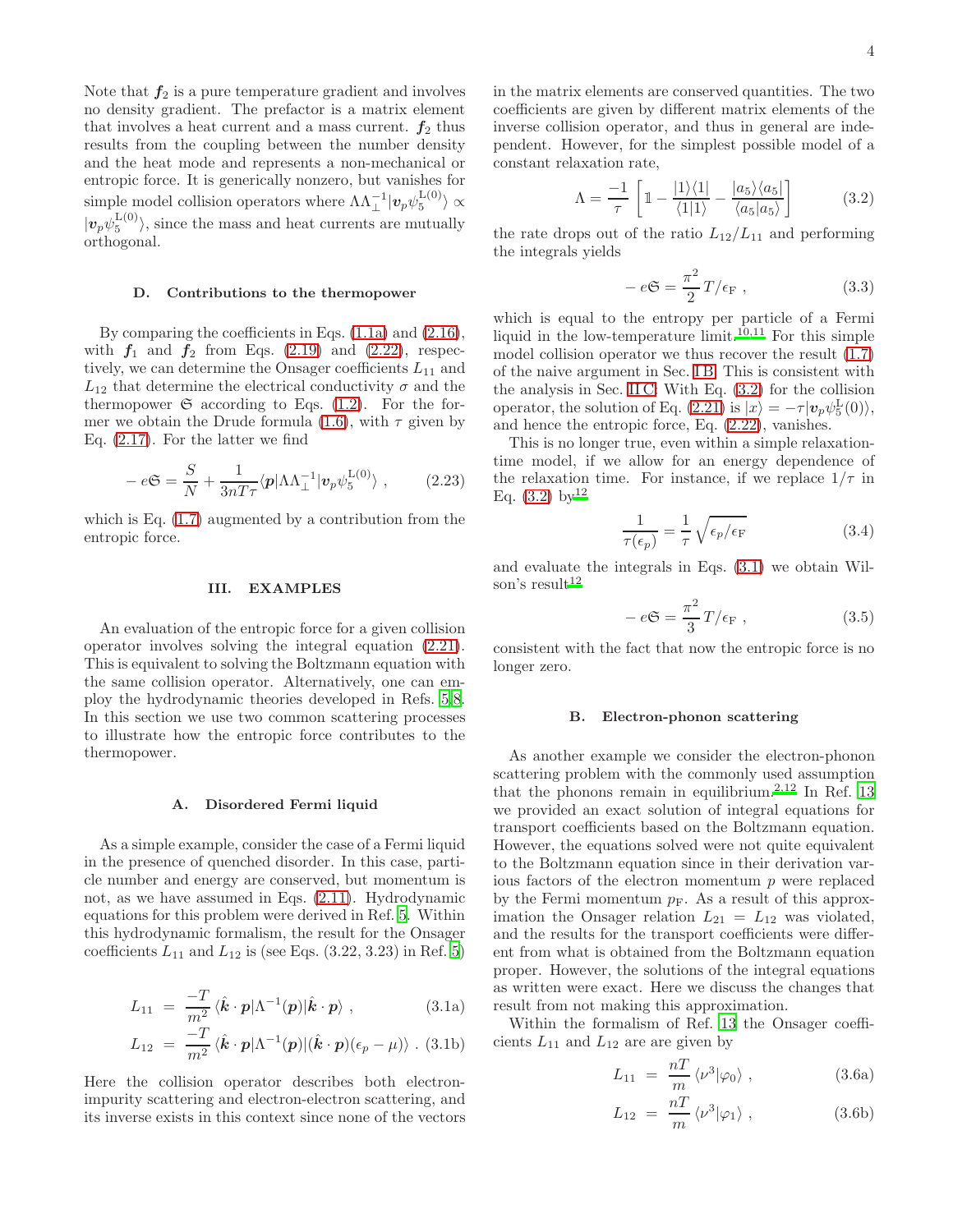Note that  $f_2$  is a pure temperature gradient and involves no density gradient. The prefactor is a matrix element that involves a heat current and a mass current.  $f_2$  thus results from the coupling between the number density and the heat mode and represents a non-mechanical or entropic force. It is generically nonzero, but vanishes for simple model collision operators where  $\Lambda\Lambda_{\perp}^{-1}|\bm{v}_{p}\psi_{5}^{\text{L}(0)}\rangle\propto$  $|v_p\psi_5^{\text{L}(0)}\rangle$ , since the mass and heat currents are mutually orthogonal.

### D. Contributions to the thermopower

By comparing the coefficients in Eqs. [\(1.1a\)](#page-0-1) and [\(2.16\)](#page-2-4), with  $f_1$  and  $f_2$  from Eqs. [\(2.19\)](#page-2-5) and [\(2.22\)](#page-2-6), respectively, we can determine the Onsager coefficients  $L_{11}$  and  $L_{12}$  that determine the electrical conductivity  $\sigma$  and the thermopower  $\mathfrak S$  according to Eqs. [\(1.2\)](#page-0-4). For the for-mer we obtain the Drude formula [\(1.6\)](#page-0-5), with  $\tau$  given by Eq. [\(2.17\)](#page-2-7). For the latter we find

$$
-e\mathfrak{S} = \frac{S}{N} + \frac{1}{3nT\tau} \langle p|\Lambda\Lambda_{\perp}^{-1} |v_p\psi_5^{\text{L}(0)}\rangle , \qquad (2.23)
$$

which is Eq.  $(1.7)$  augmented by a contribution from the entropic force.

# III. EXAMPLES

An evaluation of the entropic force for a given collision operator involves solving the integral equation [\(2.21\)](#page-2-8). This is equivalent to solving the Boltzmann equation with the same collision operator. Alternatively, one can employ the hydrodynamic theories developed in Refs. [5](#page-5-4)[,8](#page-5-7). In this section we use two common scattering processes to illustrate how the entropic force contributes to the thermopower.

### A. Disordered Fermi liquid

As a simple example, consider the case of a Fermi liquid in the presence of quenched disorder. In this case, particle number and energy are conserved, but momentum is not, as we have assumed in Eqs. [\(2.11\)](#page-1-3). Hydrodynamic equations for this problem were derived in Ref. [5](#page-5-4). Within this hydrodynamic formalism, the result for the Onsager coefficients  $L_{11}$  and  $L_{12}$  is (see Eqs. (3.22, 3.23) in Ref. [5](#page-5-4))

<span id="page-3-1"></span>
$$
L_{11} = \frac{-T}{m^2} \langle \hat{\boldsymbol{k}} \cdot \boldsymbol{p} | \Lambda^{-1}(\boldsymbol{p}) | \hat{\boldsymbol{k}} \cdot \boldsymbol{p} \rangle , \qquad (3.1a)
$$

$$
L_{12} = \frac{-T}{m^2} \langle \hat{\boldsymbol{k}} \cdot \boldsymbol{p} | \Lambda^{-1}(\boldsymbol{p}) | (\hat{\boldsymbol{k}} \cdot \boldsymbol{p}) (\epsilon_p - \mu) \rangle .
$$
 (3.1b)

Here the collision operator describes both electronimpurity scattering and electron-electron scattering, and its inverse exists in this context since none of the vectors in the matrix elements are conserved quantities. The two coefficients are given by different matrix elements of the inverse collision operator, and thus in general are independent. However, for the simplest possible model of a constant relaxation rate,

<span id="page-3-0"></span>
$$
\Lambda = \frac{-1}{\tau} \left[ \mathbb{1} - \frac{|1\rangle\langle 1|}{\langle 1|1\rangle} - \frac{|a_5\rangle\langle a_5|}{\langle a_5|a_5\rangle} \right] \tag{3.2}
$$

the rate drops out of the ratio  $L_{12}/L_{11}$  and performing the integrals yields

$$
-e\mathfrak{S} = \frac{\pi^2}{2}T/\epsilon_{\mathcal{F}} , \qquad (3.3)
$$

which is equal to the entropy per particle of a Fermi liquid in the low-temperature limit.<sup>[10](#page-5-9)[,11](#page-5-10)</sup> For this simple model collision operator we thus recover the result [\(1.7\)](#page-0-6) of the naive argument in Sec. [I B.](#page-0-7) This is consistent with the analysis in Sec. [II C:](#page-2-9) With Eq. [\(3.2\)](#page-3-0) for the collision operator, the solution of Eq. [\(2.21\)](#page-2-8) is  $|x\rangle = -\tau |\mathbf{v}_p \psi_5^{\text{L}}(0)\rangle$ , and hence the entropic force, Eq. [\(2.22\)](#page-2-6), vanishes.

This is no longer true, even within a simple relaxationtime model, if we allow for an energy dependence of the relaxation time. For instance, if we replace  $1/\tau$  in Eq.  $(3.2)$  by  $12$ 

$$
\frac{1}{\tau(\epsilon_p)} = \frac{1}{\tau} \sqrt{\epsilon_p/\epsilon_F} \tag{3.4}
$$

and evaluate the integrals in Eqs. [\(3.1\)](#page-3-1) we obtain Wil-son's result<sup>[12](#page-5-11)</sup>

$$
-e\mathfrak{S} = \frac{\pi^2}{3}T/\epsilon_{\mathcal{F}} , \qquad (3.5)
$$

consistent with the fact that now the entropic force is no longer zero.

#### <span id="page-3-3"></span>B. Electron-phonon scattering

As another example we consider the electron-phonon scattering problem with the commonly used assumption that the phonons remain in equilibrium.<sup>[2](#page-5-1)[,12](#page-5-11)</sup> In Ref. [13](#page-5-12) we provided an exact solution of integral equations for transport coefficients based on the Boltzmann equation. However, the equations solved were not quite equivalent to the Boltzmann equation since in their derivation various factors of the electron momentum  $p$  were replaced by the Fermi momentum  $p_F$ . As a result of this approximation the Onsager relation  $L_{21} = L_{12}$  was violated, and the results for the transport coefficients were different from what is obtained from the Boltzmann equation proper. However, the solutions of the integral equations as written were exact. Here we discuss the changes that result from not making this approximation.

Within the formalism of Ref. [13](#page-5-12) the Onsager coefficients  $L_{11}$  and  $L_{12}$  are are given by

<span id="page-3-2"></span>
$$
L_{11} = \frac{nT}{m} \langle \nu^3 | \varphi_0 \rangle , \qquad (3.6a)
$$

$$
L_{12} = \frac{nT}{m} \langle \nu^3 | \varphi_1 \rangle , \qquad (3.6b)
$$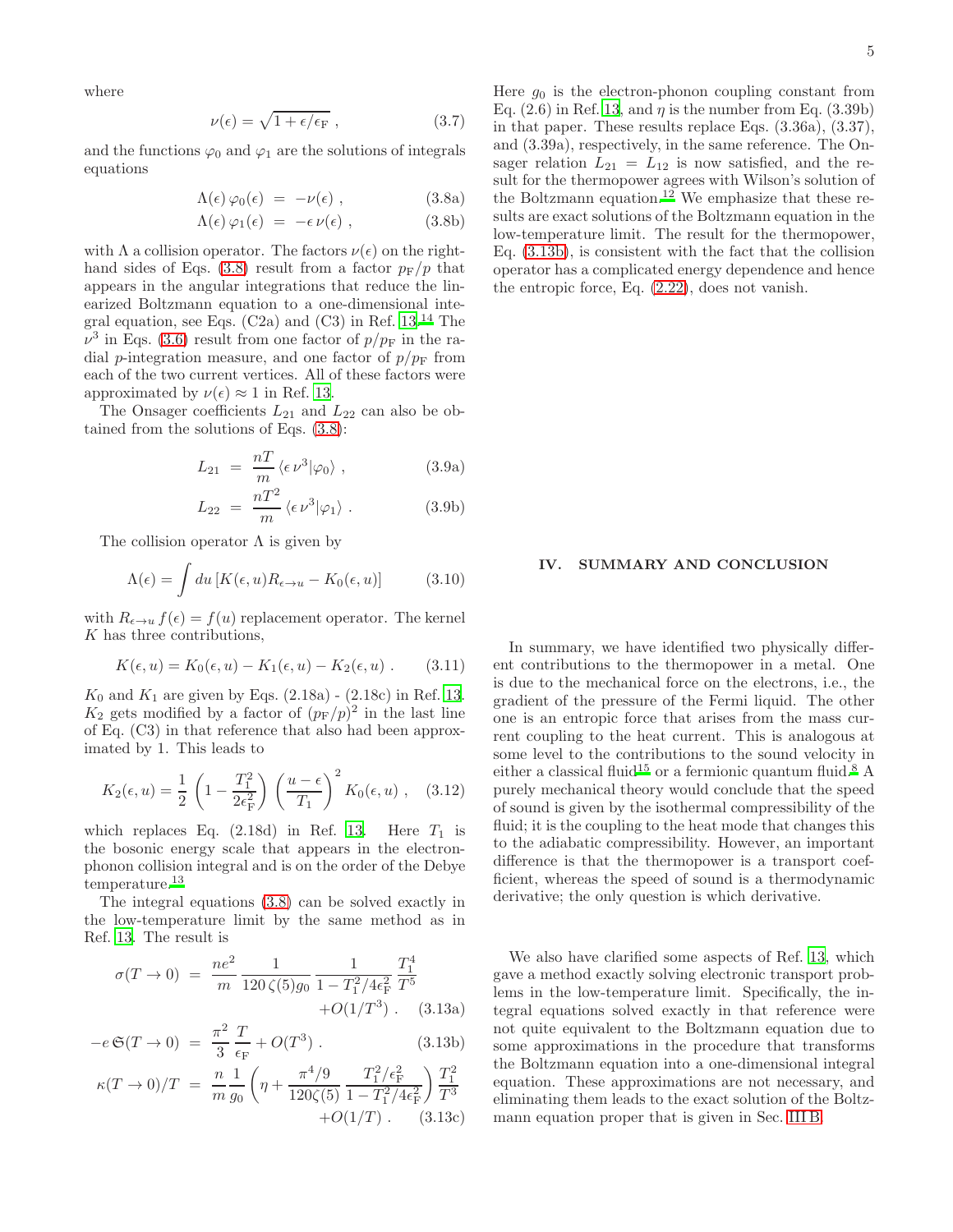where

$$
\nu(\epsilon) = \sqrt{1 + \epsilon/\epsilon_{\rm F}} \,, \tag{3.7}
$$

and the functions  $\varphi_0$  and  $\varphi_1$  are the solutions of integrals equations

<span id="page-4-0"></span>
$$
\Lambda(\epsilon)\,\varphi_0(\epsilon) \;=\; -\nu(\epsilon)\;, \qquad \qquad (3.8a)
$$

$$
\Lambda(\epsilon)\,\varphi_1(\epsilon) \;=\; -\epsilon\,\nu(\epsilon)\;, \tag{3.8b}
$$

with  $\Lambda$  a collision operator. The factors  $\nu(\epsilon)$  on the right-hand sides of Eqs. [\(3.8\)](#page-4-0) result from a factor  $p_F/p$  that appears in the angular integrations that reduce the linearized Boltzmann equation to a one-dimensional integral equation, see Eqs.  $(C2a)$  and  $(C3)$  in Ref. [13.](#page-5-12)<sup>[14](#page-5-13)</sup> The  $\nu^3$  in Eqs. [\(3.6\)](#page-3-2) result from one factor of  $p/p_F$  in the radial p-integration measure, and one factor of  $p/p<sub>F</sub>$  from each of the two current vertices. All of these factors were approximated by  $\nu(\epsilon) \approx 1$  in Ref. [13.](#page-5-12)

The Onsager coefficients  $L_{21}$  and  $L_{22}$  can also be obtained from the solutions of Eqs. [\(3.8\)](#page-4-0):

$$
L_{21} = \frac{nT}{m} \langle \epsilon \nu^3 | \varphi_0 \rangle , \qquad (3.9a)
$$

$$
L_{22} = \frac{nT^2}{m} \langle \epsilon \nu^3 | \varphi_1 \rangle . \qquad (3.9b)
$$

The collision operator  $\Lambda$  is given by

$$
\Lambda(\epsilon) = \int du \left[ K(\epsilon, u) R_{\epsilon \to u} - K_0(\epsilon, u) \right] \tag{3.10}
$$

with  $R_{\epsilon \to u} f(\epsilon) = f(u)$  replacement operator. The kernel K has three contributions,

$$
K(\epsilon, u) = K_0(\epsilon, u) - K_1(\epsilon, u) - K_2(\epsilon, u) . \qquad (3.11)
$$

 $K_0$  and  $K_1$  are given by Eqs. (2.18a) - (2.18c) in Ref. [13](#page-5-12).  $K_2$  gets modified by a factor of  $(p_F/p)^2$  in the last line of Eq. (C3) in that reference that also had been approximated by 1. This leads to

$$
K_2(\epsilon, u) = \frac{1}{2} \left( 1 - \frac{T_1^2}{2\epsilon_F^2} \right) \left( \frac{u - \epsilon}{T_1} \right)^2 K_0(\epsilon, u) , \quad (3.12)
$$

which replaces Eq.  $(2.18d)$  in Ref. [13](#page-5-12). Here  $T_1$  is the bosonic energy scale that appears in the electronphonon collision integral and is on the order of the Debye temperature.[13](#page-5-12)

The integral equations [\(3.8\)](#page-4-0) can be solved exactly in the low-temperature limit by the same method as in Ref. [13.](#page-5-12) The result is

<span id="page-4-1"></span>
$$
\sigma(T \to 0) = \frac{ne^2}{m} \frac{1}{120 \zeta(5)g_0} \frac{1}{1 - T_1^2/4\epsilon_\mathrm{F}^2} \frac{T_1^4}{T^5} + O(1/T^3) \quad (3.13a)
$$

$$
-e\,\mathfrak{S}(T \to 0) = \frac{\pi^2}{3} \frac{T}{\epsilon_{\rm F}} + O(T^3) \,. \tag{3.13b}
$$

$$
\kappa(T \to 0)/T = \frac{n}{m} \frac{1}{g_0} \left( \eta + \frac{\pi^4/9}{120\zeta(5)} \frac{T_1^2/\epsilon_F^2}{1 - T_1^2/4\epsilon_F^2} \right) \frac{T_1^2}{T^3} + O(1/T) \tag{3.13c}
$$

Here  $g_0$  is the electron-phonon coupling constant from Eq.  $(2.6)$  in Ref. [13](#page-5-12), and  $\eta$  is the number from Eq.  $(3.39b)$ in that paper. These results replace Eqs. (3.36a), (3.37), and (3.39a), respectively, in the same reference. The Onsager relation  $L_{21} = L_{12}$  is now satisfied, and the result for the thermopower agrees with Wilson's solution of the Boltzmann equation.<sup>[12](#page-5-11)</sup> We emphasize that these results are exact solutions of the Boltzmann equation in the low-temperature limit. The result for the thermopower, Eq. [\(3.13b\)](#page-4-1), is consistent with the fact that the collision operator has a complicated energy dependence and hence the entropic force, Eq. [\(2.22\)](#page-2-6), does not vanish.

# IV. SUMMARY AND CONCLUSION

In summary, we have identified two physically different contributions to the thermopower in a metal. One is due to the mechanical force on the electrons, i.e., the gradient of the pressure of the Fermi liquid. The other one is an entropic force that arises from the mass current coupling to the heat current. This is analogous at some level to the contributions to the sound velocity in either a classical fluid<sup>[15](#page-5-14)</sup> or a fermionic quantum fluid.<sup>[8](#page-5-7)</sup> A purely mechanical theory would conclude that the speed of sound is given by the isothermal compressibility of the fluid; it is the coupling to the heat mode that changes this to the adiabatic compressibility. However, an important difference is that the thermopower is a transport coefficient, whereas the speed of sound is a thermodynamic derivative; the only question is which derivative.

We also have clarified some aspects of Ref. [13](#page-5-12), which gave a method exactly solving electronic transport problems in the low-temperature limit. Specifically, the integral equations solved exactly in that reference were not quite equivalent to the Boltzmann equation due to some approximations in the procedure that transforms the Boltzmann equation into a one-dimensional integral equation. These approximations are not necessary, and eliminating them leads to the exact solution of the Boltzmann equation proper that is given in Sec. [III B.](#page-3-3)